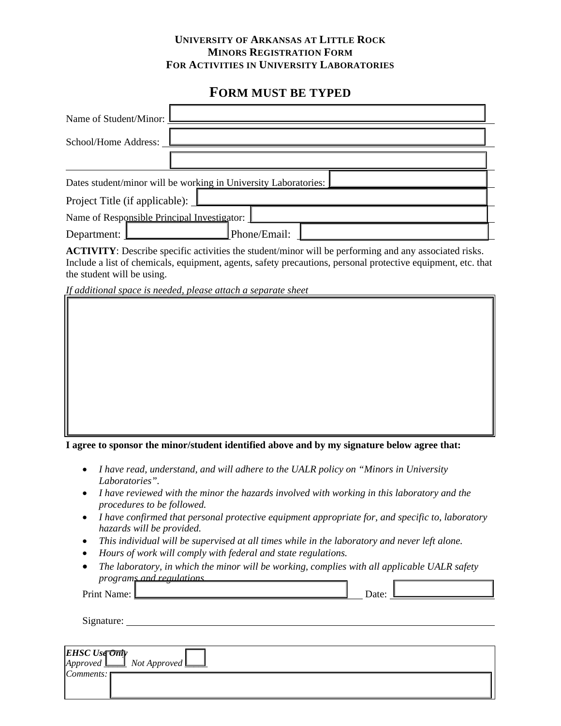#### **UNIVERSITY OF ARKANSAS AT LITTLE ROCK MINORS REGISTRATION FORM FOR ACTIVITIES IN UNIVERSITY LABORATORIES**

# **FORM MUST BE TYPED**

| Name of Student/Minor:         |                                                                 |  |
|--------------------------------|-----------------------------------------------------------------|--|
| School/Home Address:           |                                                                 |  |
|                                |                                                                 |  |
|                                | Dates student/minor will be working in University Laboratories: |  |
| Project Title (if applicable): |                                                                 |  |
|                                | Name of Responsible Principal Investigator:                     |  |
| Department:                    | Phone/Email:                                                    |  |

**ACTIVITY**: Describe specific activities the student/minor will be performing and any associated risks. Include a list of chemicals, equipment, agents, safety precautions, personal protective equipment, etc. that the student will be using.

*If additional space is needed, please attach a separate sheet* 

**Responsible Principal Investigator** 

**I agree to sponsor the minor/student identified above and by my signature below agree that:** 

- *I have read, understand, and will adhere to the UALR policy on "Minors in University Laboratories".*
- *I have reviewed with the minor the hazards involved with working in this laboratory and the procedures to be followed.*
- *I have confirmed that personal protective equipment appropriate for, and specific to, laboratory hazards will be provided.*
- *This individual will be supervised at all times while in the laboratory and never left alone.*
- *Hours of work will comply with federal and state regulations.*
- *The laboratory, in which the minor will be working, complies with all applicable UALR safety programs and regulations.*

Print Name: Date: Date: Date: Date: Date: Date: Date: Date: Date: Date: Date: Date: Date: Date: Date: Date: D

Signature:

| <b>EHSC</b> Use $\overrightarrow{Ont}$<br>$[Approved \underline{\square}]$ Not Approved $\underline{\square}$ |  |
|---------------------------------------------------------------------------------------------------------------|--|
| <i>Comments:</i> $\mathsf{⊓}$                                                                                 |  |